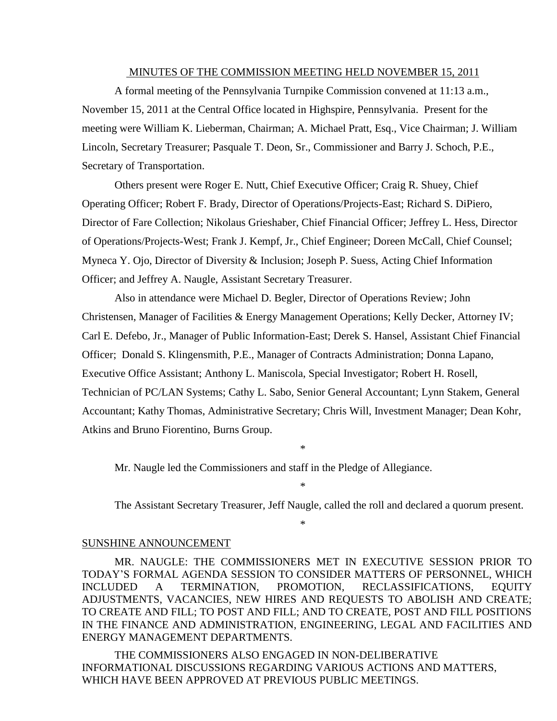#### MINUTES OF THE COMMISSION MEETING HELD NOVEMBER 15, 2011

A formal meeting of the Pennsylvania Turnpike Commission convened at 11:13 a.m., November 15, 2011 at the Central Office located in Highspire, Pennsylvania. Present for the meeting were William K. Lieberman, Chairman; A. Michael Pratt, Esq., Vice Chairman; J. William Lincoln, Secretary Treasurer; Pasquale T. Deon, Sr., Commissioner and Barry J. Schoch, P.E., Secretary of Transportation.

Others present were Roger E. Nutt, Chief Executive Officer; Craig R. Shuey, Chief Operating Officer; Robert F. Brady, Director of Operations/Projects-East; Richard S. DiPiero, Director of Fare Collection; Nikolaus Grieshaber, Chief Financial Officer; Jeffrey L. Hess, Director of Operations/Projects-West; Frank J. Kempf, Jr., Chief Engineer; Doreen McCall, Chief Counsel; Myneca Y. Ojo, Director of Diversity & Inclusion; Joseph P. Suess, Acting Chief Information Officer; and Jeffrey A. Naugle, Assistant Secretary Treasurer.

Also in attendance were Michael D. Begler, Director of Operations Review; John Christensen, Manager of Facilities & Energy Management Operations; Kelly Decker, Attorney IV; Carl E. Defebo, Jr., Manager of Public Information-East; Derek S. Hansel, Assistant Chief Financial Officer; Donald S. Klingensmith, P.E., Manager of Contracts Administration; Donna Lapano, Executive Office Assistant; Anthony L. Maniscola, Special Investigator; Robert H. Rosell, Technician of PC/LAN Systems; Cathy L. Sabo, Senior General Accountant; Lynn Stakem, General Accountant; Kathy Thomas, Administrative Secretary; Chris Will, Investment Manager; Dean Kohr, Atkins and Bruno Fiorentino, Burns Group.

Mr. Naugle led the Commissioners and staff in the Pledge of Allegiance.

The Assistant Secretary Treasurer, Jeff Naugle, called the roll and declared a quorum present.

\*

\*

\*

#### SUNSHINE ANNOUNCEMENT

MR. NAUGLE: THE COMMISSIONERS MET IN EXECUTIVE SESSION PRIOR TO TODAY'S FORMAL AGENDA SESSION TO CONSIDER MATTERS OF PERSONNEL, WHICH INCLUDED A TERMINATION, PROMOTION, RECLASSIFICATIONS, EQUITY ADJUSTMENTS, VACANCIES, NEW HIRES AND REQUESTS TO ABOLISH AND CREATE; TO CREATE AND FILL; TO POST AND FILL; AND TO CREATE, POST AND FILL POSITIONS IN THE FINANCE AND ADMINISTRATION, ENGINEERING, LEGAL AND FACILITIES AND ENERGY MANAGEMENT DEPARTMENTS.

THE COMMISSIONERS ALSO ENGAGED IN NON-DELIBERATIVE INFORMATIONAL DISCUSSIONS REGARDING VARIOUS ACTIONS AND MATTERS, WHICH HAVE BEEN APPROVED AT PREVIOUS PUBLIC MEETINGS.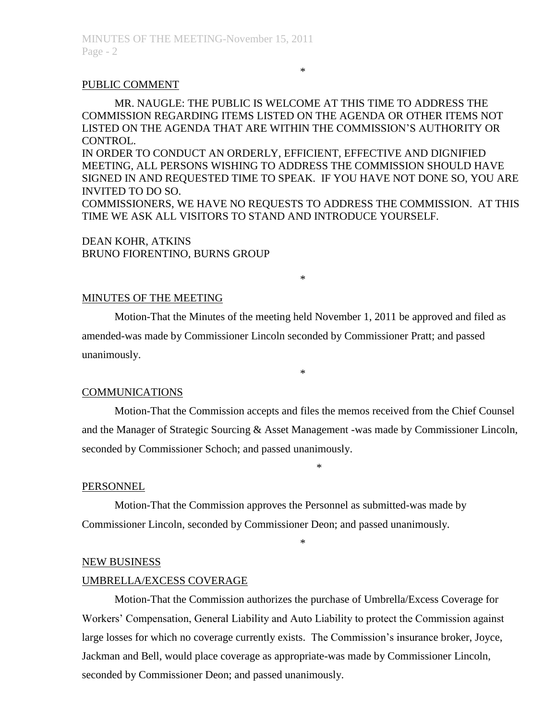## \*

## PUBLIC COMMENT

MR. NAUGLE: THE PUBLIC IS WELCOME AT THIS TIME TO ADDRESS THE COMMISSION REGARDING ITEMS LISTED ON THE AGENDA OR OTHER ITEMS NOT LISTED ON THE AGENDA THAT ARE WITHIN THE COMMISSION'S AUTHORITY OR CONTROL.

IN ORDER TO CONDUCT AN ORDERLY, EFFICIENT, EFFECTIVE AND DIGNIFIED MEETING, ALL PERSONS WISHING TO ADDRESS THE COMMISSION SHOULD HAVE SIGNED IN AND REQUESTED TIME TO SPEAK. IF YOU HAVE NOT DONE SO, YOU ARE INVITED TO DO SO.

COMMISSIONERS, WE HAVE NO REQUESTS TO ADDRESS THE COMMISSION. AT THIS TIME WE ASK ALL VISITORS TO STAND AND INTRODUCE YOURSELF.

\*

## DEAN KOHR, ATKINS BRUNO FIORENTINO, BURNS GROUP

#### MINUTES OF THE MEETING

Motion-That the Minutes of the meeting held November 1, 2011 be approved and filed as amended-was made by Commissioner Lincoln seconded by Commissioner Pratt; and passed unanimously.

## COMMUNICATIONS

Motion-That the Commission accepts and files the memos received from the Chief Counsel and the Manager of Strategic Sourcing & Asset Management -was made by Commissioner Lincoln, seconded by Commissioner Schoch; and passed unanimously.

\*

\*

## PERSONNEL

Motion-That the Commission approves the Personnel as submitted-was made by Commissioner Lincoln, seconded by Commissioner Deon; and passed unanimously.

\*

## NEW BUSINESS

#### UMBRELLA/EXCESS COVERAGE

Motion-That the Commission authorizes the purchase of Umbrella/Excess Coverage for Workers' Compensation, General Liability and Auto Liability to protect the Commission against large losses for which no coverage currently exists. The Commission's insurance broker, Joyce, Jackman and Bell, would place coverage as appropriate-was made by Commissioner Lincoln, seconded by Commissioner Deon; and passed unanimously.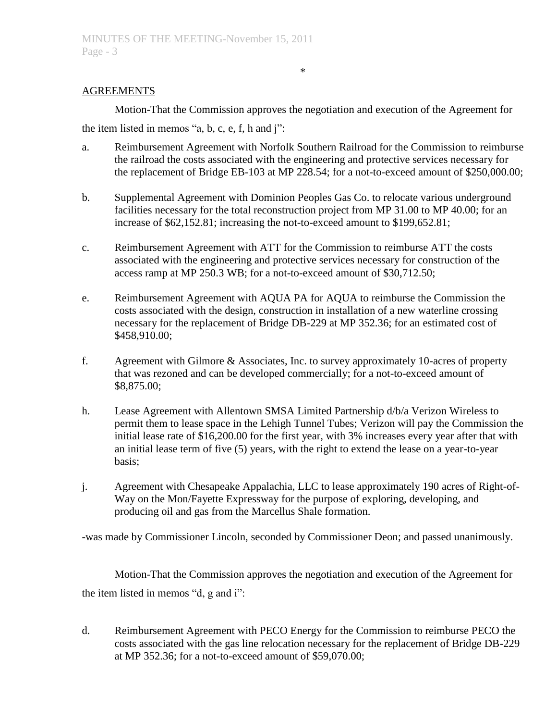## AGREEMENTS

Motion-That the Commission approves the negotiation and execution of the Agreement for the item listed in memos "a, b, c, e, f, h and j":

\*

- a. Reimbursement Agreement with Norfolk Southern Railroad for the Commission to reimburse the railroad the costs associated with the engineering and protective services necessary for the replacement of Bridge EB-103 at MP 228.54; for a not-to-exceed amount of \$250,000.00;
- b. Supplemental Agreement with Dominion Peoples Gas Co. to relocate various underground facilities necessary for the total reconstruction project from MP 31.00 to MP 40.00; for an increase of \$62,152.81; increasing the not-to-exceed amount to \$199,652.81;
- c. Reimbursement Agreement with ATT for the Commission to reimburse ATT the costs associated with the engineering and protective services necessary for construction of the access ramp at MP 250.3 WB; for a not-to-exceed amount of \$30,712.50;
- e. Reimbursement Agreement with AQUA PA for AQUA to reimburse the Commission the costs associated with the design, construction in installation of a new waterline crossing necessary for the replacement of Bridge DB-229 at MP 352.36; for an estimated cost of \$458,910.00;
- f. Agreement with Gilmore & Associates, Inc. to survey approximately 10-acres of property that was rezoned and can be developed commercially; for a not-to-exceed amount of \$8,875.00;
- h. Lease Agreement with Allentown SMSA Limited Partnership d/b/a Verizon Wireless to permit them to lease space in the Lehigh Tunnel Tubes; Verizon will pay the Commission the initial lease rate of \$16,200.00 for the first year, with 3% increases every year after that with an initial lease term of five (5) years, with the right to extend the lease on a year-to-year basis;
- j. Agreement with Chesapeake Appalachia, LLC to lease approximately 190 acres of Right-of-Way on the Mon/Fayette Expressway for the purpose of exploring, developing, and producing oil and gas from the Marcellus Shale formation.

-was made by Commissioner Lincoln, seconded by Commissioner Deon; and passed unanimously.

Motion-That the Commission approves the negotiation and execution of the Agreement for the item listed in memos "d, g and i":

d. Reimbursement Agreement with PECO Energy for the Commission to reimburse PECO the costs associated with the gas line relocation necessary for the replacement of Bridge DB-229 at MP 352.36; for a not-to-exceed amount of \$59,070.00;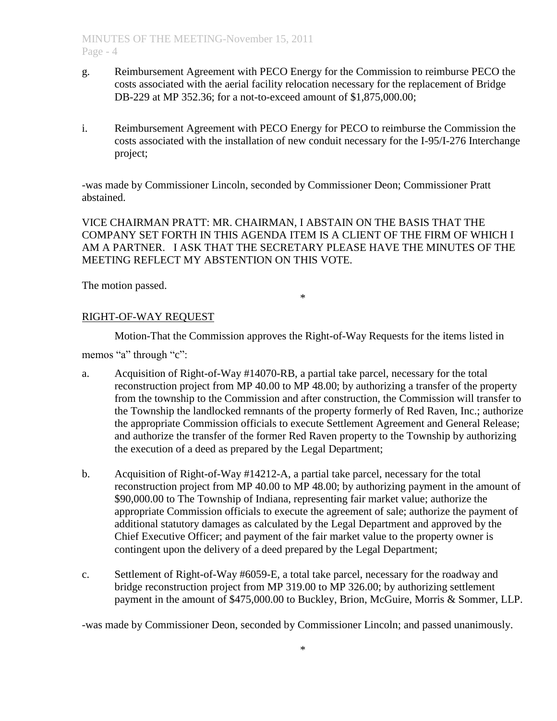- g. Reimbursement Agreement with PECO Energy for the Commission to reimburse PECO the costs associated with the aerial facility relocation necessary for the replacement of Bridge DB-229 at MP 352.36; for a not-to-exceed amount of \$1,875,000.00;
- i. Reimbursement Agreement with PECO Energy for PECO to reimburse the Commission the costs associated with the installation of new conduit necessary for the I-95/I-276 Interchange project;

-was made by Commissioner Lincoln, seconded by Commissioner Deon; Commissioner Pratt abstained.

VICE CHAIRMAN PRATT: MR. CHAIRMAN, I ABSTAIN ON THE BASIS THAT THE COMPANY SET FORTH IN THIS AGENDA ITEM IS A CLIENT OF THE FIRM OF WHICH I AM A PARTNER. I ASK THAT THE SECRETARY PLEASE HAVE THE MINUTES OF THE MEETING REFLECT MY ABSTENTION ON THIS VOTE.

The motion passed.

\*

# RIGHT-OF-WAY REQUEST

Motion-That the Commission approves the Right-of-Way Requests for the items listed in

memos "a" through "c":

- a. Acquisition of Right-of-Way #14070-RB, a partial take parcel, necessary for the total reconstruction project from MP 40.00 to MP 48.00; by authorizing a transfer of the property from the township to the Commission and after construction, the Commission will transfer to the Township the landlocked remnants of the property formerly of Red Raven, Inc.; authorize the appropriate Commission officials to execute Settlement Agreement and General Release; and authorize the transfer of the former Red Raven property to the Township by authorizing the execution of a deed as prepared by the Legal Department;
- b. Acquisition of Right-of-Way #14212-A, a partial take parcel, necessary for the total reconstruction project from MP 40.00 to MP 48.00; by authorizing payment in the amount of \$90,000.00 to The Township of Indiana, representing fair market value; authorize the appropriate Commission officials to execute the agreement of sale; authorize the payment of additional statutory damages as calculated by the Legal Department and approved by the Chief Executive Officer; and payment of the fair market value to the property owner is contingent upon the delivery of a deed prepared by the Legal Department;
- c. Settlement of Right-of-Way #6059-E, a total take parcel, necessary for the roadway and bridge reconstruction project from MP 319.00 to MP 326.00; by authorizing settlement payment in the amount of \$475,000.00 to Buckley, Brion, McGuire, Morris & Sommer, LLP.

-was made by Commissioner Deon, seconded by Commissioner Lincoln; and passed unanimously.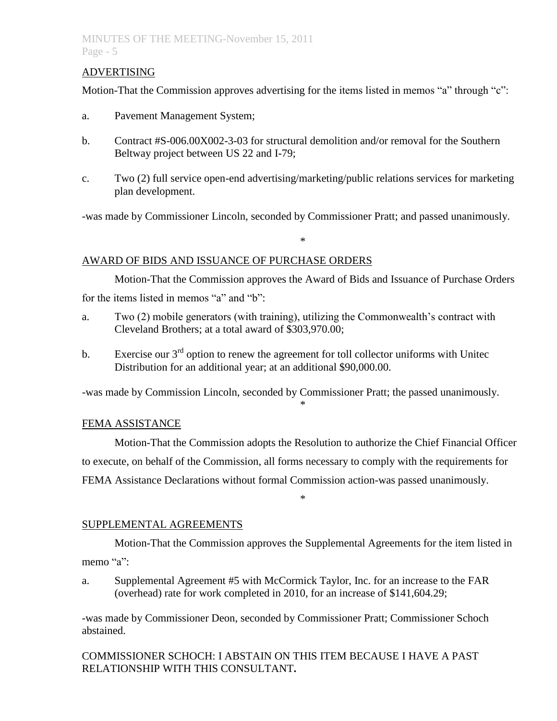# ADVERTISING

Motion-That the Commission approves advertising for the items listed in memos "a" through "c":

- a. Pavement Management System;
- b. Contract #S-006.00X002-3-03 for structural demolition and/or removal for the Southern Beltway project between US 22 and I-79;
- c. Two (2) full service open-end advertising/marketing/public relations services for marketing plan development.

-was made by Commissioner Lincoln, seconded by Commissioner Pratt; and passed unanimously.

\*

# AWARD OF BIDS AND ISSUANCE OF PURCHASE ORDERS

Motion-That the Commission approves the Award of Bids and Issuance of Purchase Orders for the items listed in memos "a" and "b":

- a. Two (2) mobile generators (with training), utilizing the Commonwealth's contract with Cleveland Brothers; at a total award of \$303,970.00;
- b. Exercise our  $3<sup>rd</sup>$  option to renew the agreement for toll collector uniforms with Unitec Distribution for an additional year; at an additional \$90,000.00.

-was made by Commission Lincoln, seconded by Commissioner Pratt; the passed unanimously.

# FEMA ASSISTANCE

Motion-That the Commission adopts the Resolution to authorize the Chief Financial Officer to execute, on behalf of the Commission, all forms necessary to comply with the requirements for FEMA Assistance Declarations without formal Commission action-was passed unanimously.

\*

\*

# SUPPLEMENTAL AGREEMENTS

Motion-That the Commission approves the Supplemental Agreements for the item listed in memo "a":

a. Supplemental Agreement #5 with McCormick Taylor, Inc. for an increase to the FAR (overhead) rate for work completed in 2010, for an increase of \$141,604.29;

-was made by Commissioner Deon, seconded by Commissioner Pratt; Commissioner Schoch abstained.

COMMISSIONER SCHOCH: I ABSTAIN ON THIS ITEM BECAUSE I HAVE A PAST RELATIONSHIP WITH THIS CONSULTANT**.**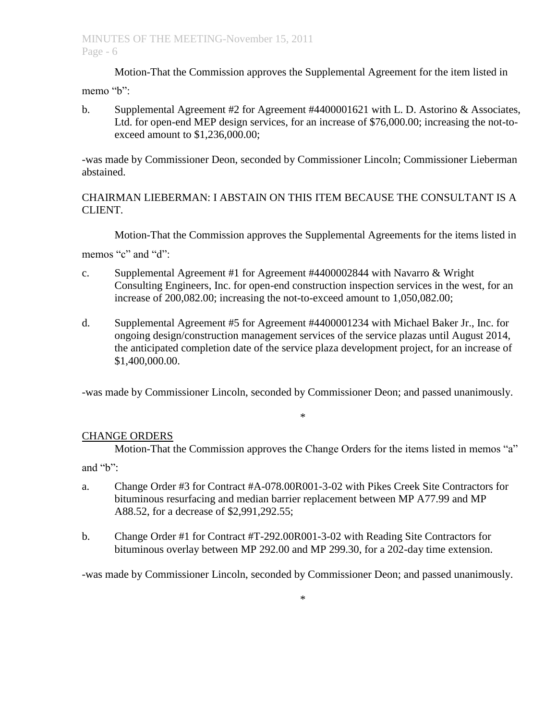Motion-That the Commission approves the Supplemental Agreement for the item listed in memo "b":

b. Supplemental Agreement  $#2$  for Agreement  $#4400001621$  with L. D. Astorino & Associates, Ltd. for open-end MEP design services, for an increase of \$76,000.00; increasing the not-toexceed amount to \$1,236,000.00;

-was made by Commissioner Deon, seconded by Commissioner Lincoln; Commissioner Lieberman abstained.

# CHAIRMAN LIEBERMAN: I ABSTAIN ON THIS ITEM BECAUSE THE CONSULTANT IS A CLIENT.

Motion-That the Commission approves the Supplemental Agreements for the items listed in

memos "c" and "d":

- c. Supplemental Agreement #1 for Agreement #4400002844 with Navarro & Wright Consulting Engineers, Inc. for open-end construction inspection services in the west, for an increase of 200,082.00; increasing the not-to-exceed amount to 1,050,082.00;
- d. Supplemental Agreement #5 for Agreement #4400001234 with Michael Baker Jr., Inc. for ongoing design/construction management services of the service plazas until August 2014, the anticipated completion date of the service plaza development project, for an increase of \$1,400,000.00.

-was made by Commissioner Lincoln, seconded by Commissioner Deon; and passed unanimously.

# \*

# CHANGE ORDERS

Motion-That the Commission approves the Change Orders for the items listed in memos "a" and "b":

- a. Change Order #3 for Contract #A-078.00R001-3-02 with Pikes Creek Site Contractors for bituminous resurfacing and median barrier replacement between MP A77.99 and MP A88.52, for a decrease of \$2,991,292.55;
- b. Change Order #1 for Contract #T-292.00R001-3-02 with Reading Site Contractors for bituminous overlay between MP 292.00 and MP 299.30, for a 202-day time extension.

-was made by Commissioner Lincoln, seconded by Commissioner Deon; and passed unanimously.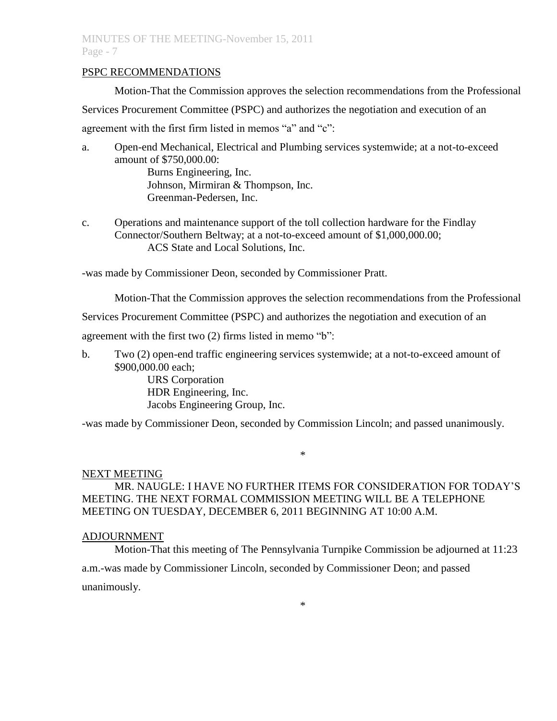## PSPC RECOMMENDATIONS

Motion-That the Commission approves the selection recommendations from the Professional

Services Procurement Committee (PSPC) and authorizes the negotiation and execution of an agreement with the first firm listed in memos "a" and "c":

- a. Open-end Mechanical, Electrical and Plumbing services systemwide; at a not-to-exceed amount of \$750,000.00: Burns Engineering, Inc. Johnson, Mirmiran & Thompson, Inc. Greenman-Pedersen, Inc.
- c. Operations and maintenance support of the toll collection hardware for the Findlay Connector/Southern Beltway; at a not-to-exceed amount of \$1,000,000.00; ACS State and Local Solutions, Inc.

-was made by Commissioner Deon, seconded by Commissioner Pratt.

Motion-That the Commission approves the selection recommendations from the Professional

Services Procurement Committee (PSPC) and authorizes the negotiation and execution of an

agreement with the first two (2) firms listed in memo "b":

b. Two (2) open-end traffic engineering services systemwide; at a not-to-exceed amount of \$900,000.00 each;

> URS Corporation HDR Engineering, Inc. Jacobs Engineering Group, Inc.

-was made by Commissioner Deon, seconded by Commission Lincoln; and passed unanimously.

## \*

# NEXT MEETING

# MR. NAUGLE: I HAVE NO FURTHER ITEMS FOR CONSIDERATION FOR TODAY'S MEETING. THE NEXT FORMAL COMMISSION MEETING WILL BE A TELEPHONE MEETING ON TUESDAY, DECEMBER 6, 2011 BEGINNING AT 10:00 A.M.

# ADJOURNMENT

Motion-That this meeting of The Pennsylvania Turnpike Commission be adjourned at 11:23 a.m.-was made by Commissioner Lincoln, seconded by Commissioner Deon; and passed unanimously.